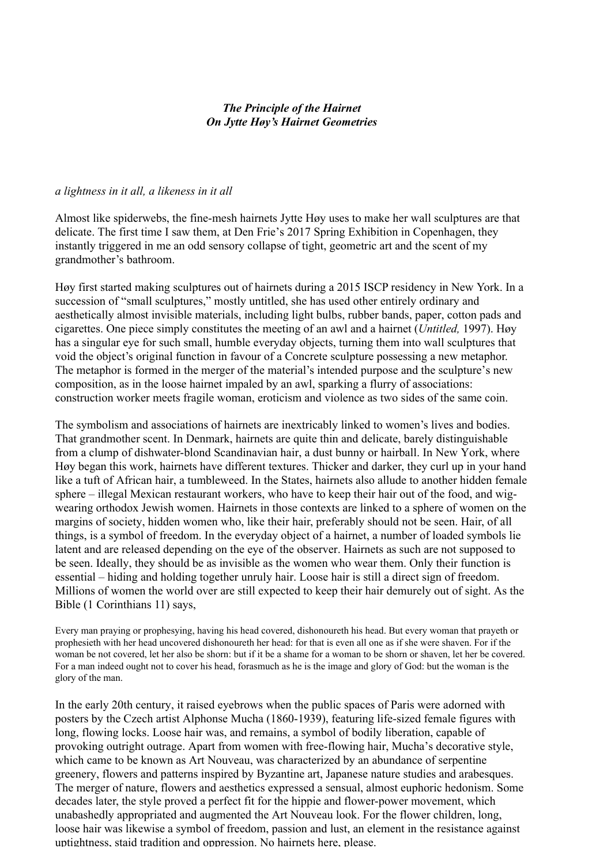### *The Principle of the Hairnet On Jytte Høy's Hairnet Geometries*

#### *a lightness in it all, a likeness in it all*

Almost like spiderwebs, the fine-mesh hairnets Jytte Høy uses to make her wall sculptures are that delicate. The first time I saw them, at Den Frie's 2017 Spring Exhibition in Copenhagen, they instantly triggered in me an odd sensory collapse of tight, geometric art and the scent of my grandmother's bathroom.

Høy first started making sculptures out of hairnets during a 2015 ISCP residency in New York. In a succession of "small sculptures," mostly untitled, she has used other entirely ordinary and aesthetically almost invisible materials, including light bulbs, rubber bands, paper, cotton pads and cigarettes. One piece simply constitutes the meeting of an awl and a hairnet (*Untitled,* 1997). Høy has a singular eye for such small, humble everyday objects, turning them into wall sculptures that void the object's original function in favour of a Concrete sculpture possessing a new metaphor. The metaphor is formed in the merger of the material's intended purpose and the sculpture's new composition, as in the loose hairnet impaled by an awl, sparking a flurry of associations: construction worker meets fragile woman, eroticism and violence as two sides of the same coin.

The symbolism and associations of hairnets are inextricably linked to women's lives and bodies. That grandmother scent. In Denmark, hairnets are quite thin and delicate, barely distinguishable from a clump of dishwater-blond Scandinavian hair, a dust bunny or hairball. In New York, where Høy began this work, hairnets have different textures. Thicker and darker, they curl up in your hand like a tuft of African hair, a tumbleweed. In the States, hairnets also allude to another hidden female sphere – illegal Mexican restaurant workers, who have to keep their hair out of the food, and wigwearing orthodox Jewish women. Hairnets in those contexts are linked to a sphere of women on the margins of society, hidden women who, like their hair, preferably should not be seen. Hair, of all things, is a symbol of freedom. In the everyday object of a hairnet, a number of loaded symbols lie latent and are released depending on the eye of the observer. Hairnets as such are not supposed to be seen. Ideally, they should be as invisible as the women who wear them. Only their function is essential – hiding and holding together unruly hair. Loose hair is still a direct sign of freedom. Millions of women the world over are still expected to keep their hair demurely out of sight. As the Bible (1 Corinthians 11) says,

Every man praying or prophesying, having his head covered, dishonoureth his head. But every woman that prayeth or prophesieth with her head uncovered dishonoureth her head: for that is even all one as if she were shaven. For if the woman be not covered, let her also be shorn: but if it be a shame for a woman to be shorn or shaven, let her be covered. For a man indeed ought not to cover his head, forasmuch as he is the image and glory of God: but the woman is the glory of the man.

In the early 20th century, it raised eyebrows when the public spaces of Paris were adorned with posters by the Czech artist Alphonse Mucha (1860-1939), featuring life-sized female figures with long, flowing locks. Loose hair was, and remains, a symbol of bodily liberation, capable of provoking outright outrage. Apart from women with free-flowing hair, Mucha's decorative style, which came to be known as Art Nouveau, was characterized by an abundance of serpentine greenery, flowers and patterns inspired by Byzantine art, Japanese nature studies and arabesques. The merger of nature, flowers and aesthetics expressed a sensual, almost euphoric hedonism. Some decades later, the style proved a perfect fit for the hippie and flower-power movement, which unabashedly appropriated and augmented the Art Nouveau look. For the flower children, long, loose hair was likewise a symbol of freedom, passion and lust, an element in the resistance against uptightness, staid tradition and oppression. No hairnets here, please.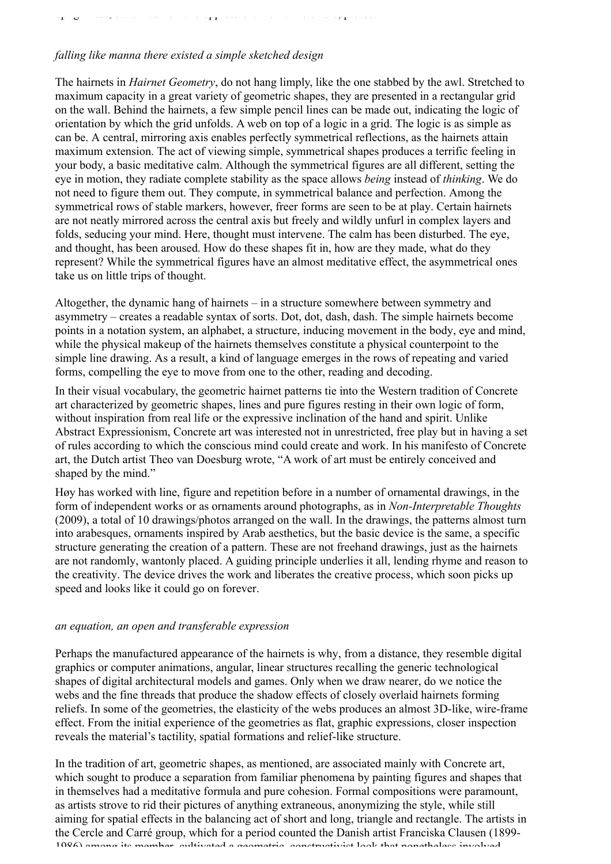# uptightness, statistical tradition and  $\mathbf{r}_\mathrm{T}$  tradition and operation. No hairnets here, please.

## *falling like manna there existed a simple sketched design*

The hairnets in *Hairnet Geometry*, do not hang limply, like the one stabbed by the awl. Stretched to maximum capacity in a great variety of geometric shapes, they are presented in a rectangular grid on the wall. Behind the hairnets, a few simple pencil lines can be made out, indicating the logic of orientation by which the grid unfolds. A web on top of a logic in a grid. The logic is as simple as can be. A central, mirroring axis enables perfectly symmetrical reflections, as the hairnets attain maximum extension. The act of viewing simple, symmetrical shapes produces a terrific feeling in your body, a basic meditative calm. Although the symmetrical figures are all different, setting the eye in motion, they radiate complete stability as the space allows *being* instead of *thinking*. We do not need to figure them out. They compute, in symmetrical balance and perfection. Among the symmetrical rows of stable markers, however, freer forms are seen to be at play. Certain hairnets are not neatly mirrored across the central axis but freely and wildly unfurl in complex layers and folds, seducing your mind. Here, thought must intervene. The calm has been disturbed. The eye, and thought, has been aroused. How do these shapes fit in, how are they made, what do they represent? While the symmetrical figures have an almost meditative effect, the asymmetrical ones take us on little trips of thought.

Altogether, the dynamic hang of hairnets – in a structure somewhere between symmetry and asymmetry – creates a readable syntax of sorts. Dot, dot, dash, dash. The simple hairnets become points in a notation system, an alphabet, a structure, inducing movement in the body, eye and mind, while the physical makeup of the hairnets themselves constitute a physical counterpoint to the simple line drawing. As a result, a kind of language emerges in the rows of repeating and varied forms, compelling the eye to move from one to the other, reading and decoding.

In their visual vocabulary, the geometric hairnet patterns tie into the Western tradition of Concrete art characterized by geometric shapes, lines and pure figures resting in their own logic of form, without inspiration from real life or the expressive inclination of the hand and spirit. Unlike Abstract Expressionism, Concrete art was interested not in unrestricted, free play but in having a set of rules according to which the conscious mind could create and work. In his manifesto of Concrete art, the Dutch artist Theo van Doesburg wrote, "A work of art must be entirely conceived and shaped by the mind."

Høy has worked with line, figure and repetition before in a number of ornamental drawings, in the form of independent works or as ornaments around photographs, as in *Non-Interpretable Thoughts* (2009), a total of 10 drawings/photos arranged on the wall. In the drawings, the patterns almost turn into arabesques, ornaments inspired by Arab aesthetics, but the basic device is the same, a specific structure generating the creation of a pattern. These are not freehand drawings, just as the hairnets are not randomly, wantonly placed. A guiding principle underlies it all, lending rhyme and reason to the creativity. The device drives the work and liberates the creative process, which soon picks up speed and looks like it could go on forever.

### *an equation, an open and transferable expression*

Perhaps the manufactured appearance of the hairnets is why, from a distance, they resemble digital graphics or computer animations, angular, linear structures recalling the generic technological shapes of digital architectural models and games. Only when we draw nearer, do we notice the webs and the fine threads that produce the shadow effects of closely overlaid hairnets forming reliefs. In some of the geometries, the elasticity of the webs produces an almost 3D-like, wire-frame effect. From the initial experience of the geometries as flat, graphic expressions, closer inspection reveals the material's tactility, spatial formations and relief-like structure.

In the tradition of art, geometric shapes, as mentioned, are associated mainly with Concrete art, which sought to produce a separation from familiar phenomena by painting figures and shapes that in themselves had a meditative formula and pure cohesion. Formal compositions were paramount, as artists strove to rid their pictures of anything extraneous, anonymizing the style, while still aiming for spatial effects in the balancing act of short and long, triangle and rectangle. The artists in the Cercle and Carré group, which for a period counted the Danish artist Franciska Clausen (1899- 1986) among its member, cultivated a geometric, constructivist look that nonetheless involved